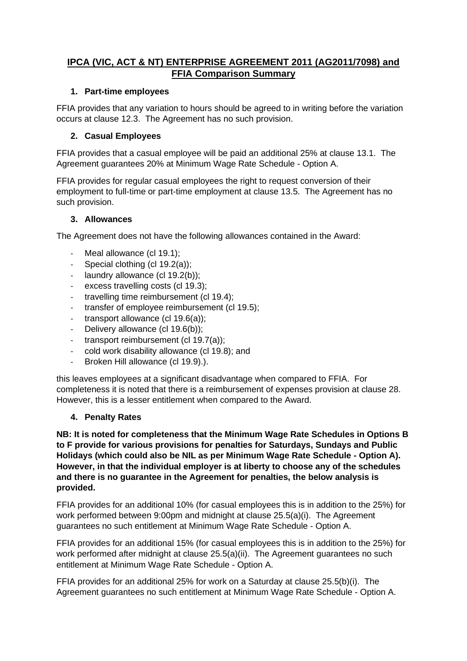# **IPCA (VIC, ACT & NT) ENTERPRISE AGREEMENT 2011 (AG2011/7098) and FFIA Comparison Summary**

## **1. Part-time employees**

FFIA provides that any variation to hours should be agreed to in writing before the variation occurs at clause 12.3. The Agreement has no such provision.

# **2. Casual Employees**

FFIA provides that a casual employee will be paid an additional 25% at clause 13.1. The Agreement guarantees 20% at Minimum Wage Rate Schedule - Option A.

FFIA provides for regular casual employees the right to request conversion of their employment to full-time or part-time employment at clause 13.5. The Agreement has no such provision.

## **3. Allowances**

The Agreement does not have the following allowances contained in the Award:

- Meal allowance (cl 19.1);
- Special clothing (cl 19.2(a));
- laundry allowance (cl 19.2(b));
- excess travelling costs (cl 19.3);
- travelling time reimbursement (cl 19.4);
- transfer of employee reimbursement (cl 19.5);
- transport allowance (cl 19.6(a));
- Delivery allowance (cl 19.6(b));
- transport reimbursement (cl 19.7(a));
- cold work disability allowance (cl 19.8); and
- Broken Hill allowance (cl 19.9).).

this leaves employees at a significant disadvantage when compared to FFIA. For completeness it is noted that there is a reimbursement of expenses provision at clause 28. However, this is a lesser entitlement when compared to the Award.

#### **4. Penalty Rates**

**NB: It is noted for completeness that the Minimum Wage Rate Schedules in Options B to F provide for various provisions for penalties for Saturdays, Sundays and Public Holidays (which could also be NIL as per Minimum Wage Rate Schedule - Option A). However, in that the individual employer is at liberty to choose any of the schedules and there is no guarantee in the Agreement for penalties, the below analysis is provided.**

FFIA provides for an additional 10% (for casual employees this is in addition to the 25%) for work performed between 9:00pm and midnight at clause 25.5(a)(i). The Agreement guarantees no such entitlement at Minimum Wage Rate Schedule - Option A.

FFIA provides for an additional 15% (for casual employees this is in addition to the 25%) for work performed after midnight at clause 25.5(a)(ii). The Agreement guarantees no such entitlement at Minimum Wage Rate Schedule - Option A.

FFIA provides for an additional 25% for work on a Saturday at clause 25.5(b)(i). The Agreement guarantees no such entitlement at Minimum Wage Rate Schedule - Option A.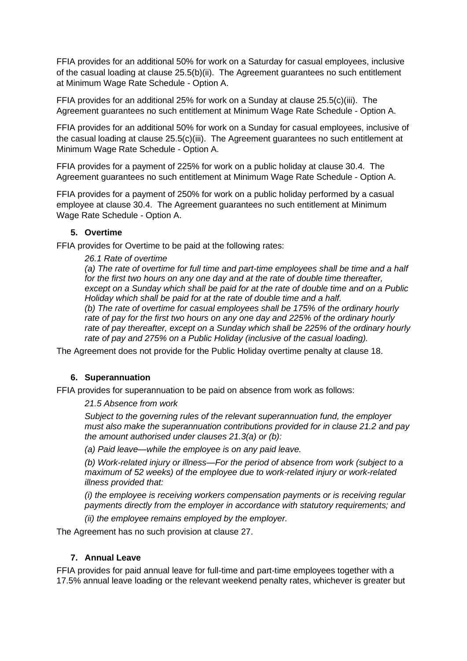FFIA provides for an additional 50% for work on a Saturday for casual employees, inclusive of the casual loading at clause 25.5(b)(ii). The Agreement guarantees no such entitlement at Minimum Wage Rate Schedule - Option A.

FFIA provides for an additional 25% for work on a Sunday at clause 25.5(c)(iii). The Agreement guarantees no such entitlement at Minimum Wage Rate Schedule - Option A.

FFIA provides for an additional 50% for work on a Sunday for casual employees, inclusive of the casual loading at clause 25.5(c)(iii). The Agreement guarantees no such entitlement at Minimum Wage Rate Schedule - Option A.

FFIA provides for a payment of 225% for work on a public holiday at clause 30.4. The Agreement guarantees no such entitlement at Minimum Wage Rate Schedule - Option A.

FFIA provides for a payment of 250% for work on a public holiday performed by a casual employee at clause 30.4. The Agreement guarantees no such entitlement at Minimum Wage Rate Schedule - Option A.

#### **5. Overtime**

FFIA provides for Overtime to be paid at the following rates:

#### *26.1 Rate of overtime*

*(a) The rate of overtime for full time and part-time employees shall be time and a half for the first two hours on any one day and at the rate of double time thereafter, except on a Sunday which shall be paid for at the rate of double time and on a Public Holiday which shall be paid for at the rate of double time and a half. (b) The rate of overtime for casual employees shall be 175% of the ordinary hourly rate of pay for the first two hours on any one day and 225% of the ordinary hourly rate of pay thereafter, except on a Sunday which shall be 225% of the ordinary hourly rate of pay and 275% on a Public Holiday (inclusive of the casual loading).*

The Agreement does not provide for the Public Holiday overtime penalty at clause 18.

#### **6. Superannuation**

FFIA provides for superannuation to be paid on absence from work as follows:

*21.5 Absence from work*

*Subject to the governing rules of the relevant superannuation fund, the employer must also make the superannuation contributions provided for in clause 21.2 and pay the amount authorised under clauses 21.3(a) or (b):*

*(a) Paid leave—while the employee is on any paid leave.*

*(b) Work-related injury or illness—For the period of absence from work (subject to a maximum of 52 weeks) of the employee due to work-related injury or work-related illness provided that:*

*(i) the employee is receiving workers compensation payments or is receiving regular payments directly from the employer in accordance with statutory requirements; and*

*(ii) the employee remains employed by the employer.*

The Agreement has no such provision at clause 27.

#### **7. Annual Leave**

FFIA provides for paid annual leave for full-time and part-time employees together with a 17.5% annual leave loading or the relevant weekend penalty rates, whichever is greater but